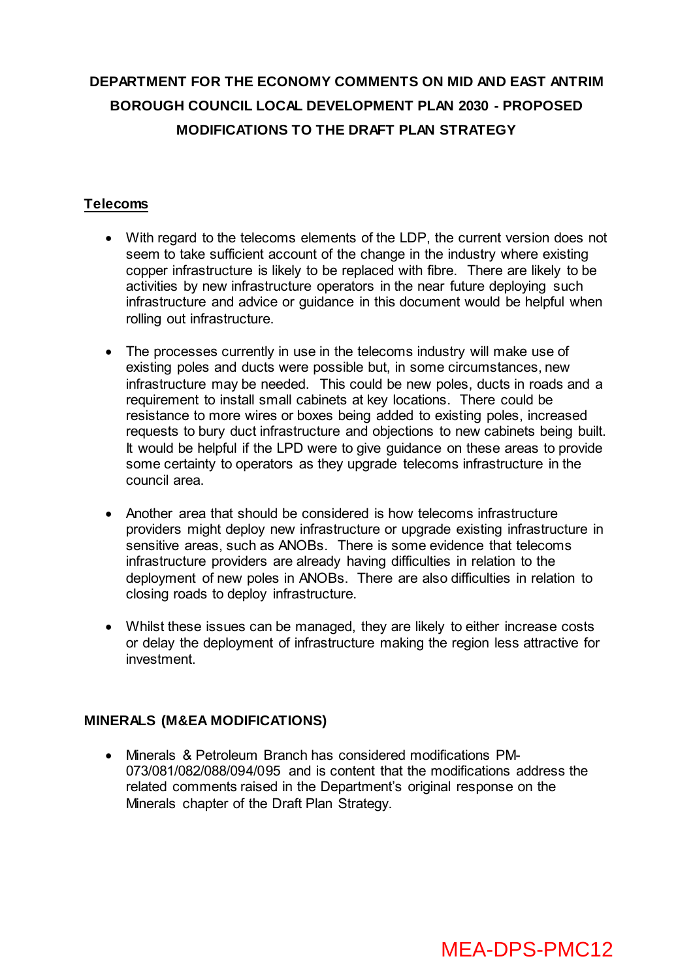# **DEPARTMENT FOR THE ECONOMY COMMENTS ON MID AND EAST ANTRIM BOROUGH COUNCIL LOCAL DEVELOPMENT PLAN 2030 - PROPOSED MODIFICATIONS TO THE DRAFT PLAN STRATEGY**

# **Telecoms**

- With regard to the telecoms elements of the LDP, the current version does not seem to take sufficient account of the change in the industry where existing copper infrastructure is likely to be replaced with fibre. There are likely to be activities by new infrastructure operators in the near future deploying such infrastructure and advice or guidance in this document would be helpful when rolling out infrastructure.
- The processes currently in use in the telecoms industry will make use of existing poles and ducts were possible but, in some circumstances, new infrastructure may be needed. This could be new poles, ducts in roads and a requirement to install small cabinets at key locations. There could be resistance to more wires or boxes being added to existing poles, increased requests to bury duct infrastructure and objections to new cabinets being built. It would be helpful if the LPD were to give guidance on these areas to provide some certainty to operators as they upgrade telecoms infrastructure in the council area.
- Another area that should be considered is how telecoms infrastructure providers might deploy new infrastructure or upgrade existing infrastructure in sensitive areas, such as ANOBs. There is some evidence that telecoms infrastructure providers are already having difficulties in relation to the deployment of new poles in ANOBs. There are also difficulties in relation to closing roads to deploy infrastructure.
- Whilst these issues can be managed, they are likely to either increase costs or delay the deployment of infrastructure making the region less attractive for investment.

# **MINERALS (M&EA MODIFICATIONS)**

 Minerals & Petroleum Branch has considered modifications PM-073/081/082/088/094/095 and is content that the modifications address the related comments raised in the Department's original response on the Minerals chapter of the Draft Plan Strategy.

# MEA-DPS-PMC12